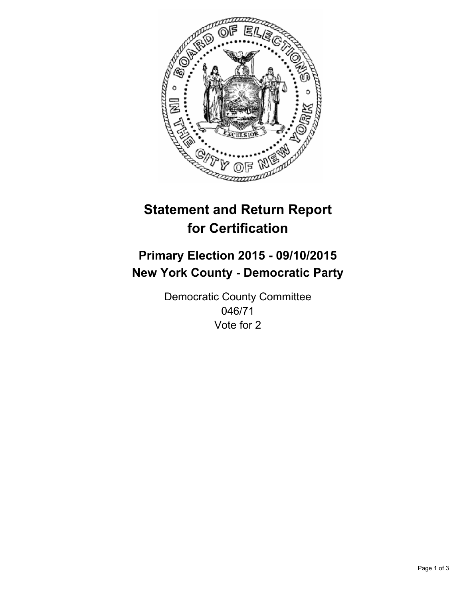

# **Statement and Return Report for Certification**

## **Primary Election 2015 - 09/10/2015 New York County - Democratic Party**

Democratic County Committee 046/71 Vote for 2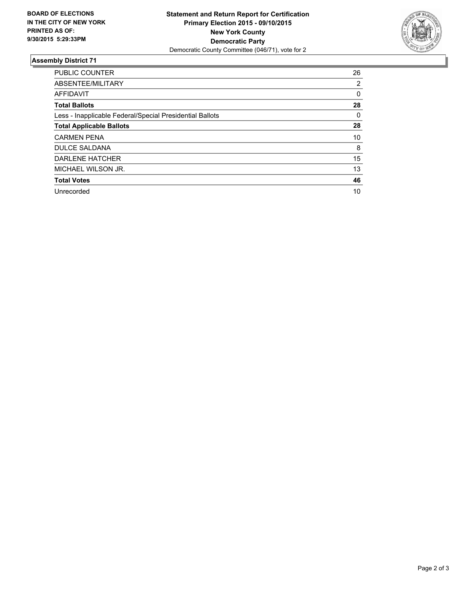

#### **Assembly District 71**

| PUBLIC COUNTER                                           | 26             |
|----------------------------------------------------------|----------------|
| ABSENTEE/MILITARY                                        | $\overline{2}$ |
| <b>AFFIDAVIT</b>                                         | 0              |
| <b>Total Ballots</b>                                     | 28             |
| Less - Inapplicable Federal/Special Presidential Ballots | 0              |
| <b>Total Applicable Ballots</b>                          | 28             |
| <b>CARMEN PENA</b>                                       | 10             |
| <b>DULCE SALDANA</b>                                     | 8              |
| DARLENE HATCHER                                          | 15             |
| MICHAEL WILSON JR.                                       | 13             |
| <b>Total Votes</b>                                       | 46             |
| Unrecorded                                               | 10             |